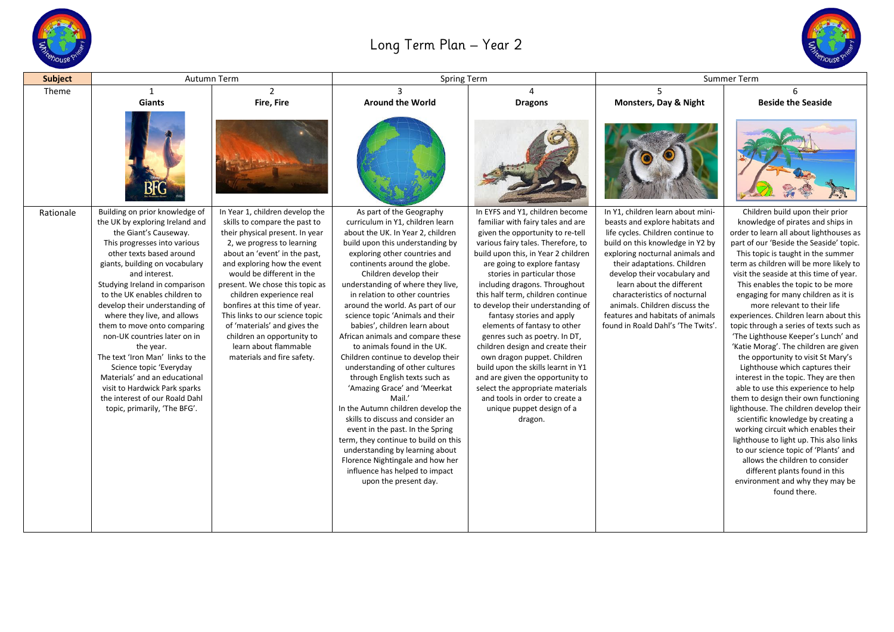

## Long Term Plan – Year 2



| <b>Subject</b> | Autumn Term                                                     |                                                              | Spring Term                                                       |                                                                           | Summer Term                                                         |                                                                               |
|----------------|-----------------------------------------------------------------|--------------------------------------------------------------|-------------------------------------------------------------------|---------------------------------------------------------------------------|---------------------------------------------------------------------|-------------------------------------------------------------------------------|
| Theme          | $\mathbf{1}$                                                    | $\overline{2}$                                               | $\overline{3}$                                                    | $\overline{4}$                                                            | 5                                                                   | 6                                                                             |
|                | <b>Giants</b>                                                   | Fire, Fire                                                   | <b>Around the World</b>                                           | <b>Dragons</b>                                                            | Monsters, Day & Night                                               | <b>Beside the Seaside</b>                                                     |
|                | BŀG                                                             |                                                              |                                                                   |                                                                           |                                                                     |                                                                               |
| Rationale      | Building on prior knowledge of                                  | In Year 1, children develop the                              | As part of the Geography                                          | In EYFS and Y1, children become                                           | In Y1, children learn about mini-                                   | Children build upon their prior                                               |
|                | the UK by exploring Ireland and                                 | skills to compare the past to                                | curriculum in Y1, children learn                                  | familiar with fairy tales and are                                         | beasts and explore habitats and                                     | knowledge of pirates and ships in                                             |
|                | the Giant's Causeway.                                           | their physical present. In year                              | about the UK. In Year 2, children                                 | given the opportunity to re-tell                                          | life cycles. Children continue to                                   | order to learn all about lighthouses as                                       |
|                | This progresses into various<br>other texts based around        | 2, we progress to learning                                   | build upon this understanding by<br>exploring other countries and | various fairy tales. Therefore, to<br>build upon this, in Year 2 children | build on this knowledge in Y2 by<br>exploring nocturnal animals and | part of our 'Beside the Seaside' topic.                                       |
|                | giants, building on vocabulary                                  | about an 'event' in the past,<br>and exploring how the event | continents around the globe.                                      | are going to explore fantasy                                              | their adaptations. Children                                         | This topic is taught in the summer<br>term as children will be more likely to |
|                | and interest.                                                   | would be different in the                                    | Children develop their                                            | stories in particular those                                               | develop their vocabulary and                                        | visit the seaside at this time of year.                                       |
|                | Studying Ireland in comparison                                  | present. We chose this topic as                              | understanding of where they live,                                 | including dragons. Throughout                                             | learn about the different                                           | This enables the topic to be more                                             |
|                | to the UK enables children to                                   | children experience real                                     | in relation to other countries                                    | this half term, children continue                                         | characteristics of nocturnal                                        | engaging for many children as it is                                           |
|                | develop their understanding of                                  | bonfires at this time of year.                               | around the world. As part of our                                  | to develop their understanding of                                         | animals. Children discuss the                                       | more relevant to their life                                                   |
|                | where they live, and allows                                     | This links to our science topic                              | science topic 'Animals and their                                  | fantasy stories and apply                                                 | features and habitats of animals                                    | experiences. Children learn about this                                        |
|                | them to move onto comparing                                     | of 'materials' and gives the                                 | babies', children learn about                                     | elements of fantasy to other                                              | found in Roald Dahl's 'The Twits'.                                  | topic through a series of texts such as                                       |
|                | non-UK countries later on in                                    | children an opportunity to                                   | African animals and compare these                                 | genres such as poetry. In DT,                                             |                                                                     | 'The Lighthouse Keeper's Lunch' and                                           |
|                | the year.                                                       | learn about flammable                                        | to animals found in the UK.                                       | children design and create their                                          |                                                                     | 'Katie Morag'. The children are given                                         |
|                | The text 'Iron Man' links to the                                | materials and fire safety.                                   | Children continue to develop their                                | own dragon puppet. Children                                               |                                                                     | the opportunity to visit St Mary's                                            |
|                | Science topic 'Everyday                                         |                                                              | understanding of other cultures                                   | build upon the skills learnt in Y1                                        |                                                                     | Lighthouse which captures their                                               |
|                | Materials' and an educational                                   |                                                              | through English texts such as                                     | and are given the opportunity to                                          |                                                                     | interest in the topic. They are then                                          |
|                | visit to Hardwick Park sparks<br>the interest of our Roald Dahl |                                                              | 'Amazing Grace' and 'Meerkat<br>Mail.'                            | select the appropriate materials<br>and tools in order to create a        |                                                                     | able to use this experience to help<br>them to design their own functioning   |
|                | topic, primarily, 'The BFG'.                                    |                                                              | In the Autumn children develop the                                | unique puppet design of a                                                 |                                                                     | lighthouse. The children develop their                                        |
|                |                                                                 |                                                              | skills to discuss and consider an                                 | dragon.                                                                   |                                                                     | scientific knowledge by creating a                                            |
|                |                                                                 |                                                              | event in the past. In the Spring                                  |                                                                           |                                                                     | working circuit which enables their                                           |
|                |                                                                 |                                                              | term, they continue to build on this                              |                                                                           |                                                                     | lighthouse to light up. This also links                                       |
|                |                                                                 |                                                              | understanding by learning about                                   |                                                                           |                                                                     | to our science topic of 'Plants' and                                          |
|                |                                                                 |                                                              | Florence Nightingale and how her                                  |                                                                           |                                                                     | allows the children to consider                                               |
|                |                                                                 |                                                              | influence has helped to impact                                    |                                                                           |                                                                     | different plants found in this                                                |
|                |                                                                 |                                                              | upon the present day.                                             |                                                                           |                                                                     | environment and why they may be                                               |
|                |                                                                 |                                                              |                                                                   |                                                                           |                                                                     | found there.                                                                  |
|                |                                                                 |                                                              |                                                                   |                                                                           |                                                                     |                                                                               |
|                |                                                                 |                                                              |                                                                   |                                                                           |                                                                     |                                                                               |
|                |                                                                 |                                                              |                                                                   |                                                                           |                                                                     |                                                                               |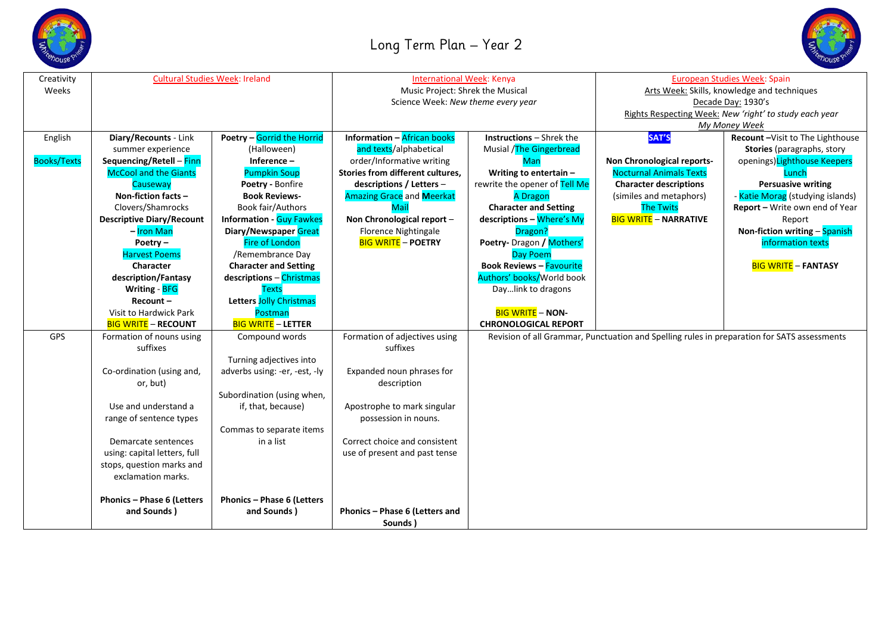



| Creativity         | <b>Cultural Studies Week: Ireland</b> |                                 | <b>International Week: Kenya</b>   |                                 | European Studies Week: Spain                                                                |                                   |
|--------------------|---------------------------------------|---------------------------------|------------------------------------|---------------------------------|---------------------------------------------------------------------------------------------|-----------------------------------|
| Weeks              |                                       |                                 | Music Project: Shrek the Musical   |                                 | Arts Week: Skills, knowledge and techniques                                                 |                                   |
|                    |                                       |                                 | Science Week: New theme every year |                                 | Decade Day: 1930's                                                                          |                                   |
|                    |                                       |                                 |                                    |                                 | Rights Respecting Week: New 'right' to study each year                                      |                                   |
|                    |                                       |                                 |                                    |                                 | My Money Week                                                                               |                                   |
| English            | Diary/Recounts - Link                 | Poetry - Gorrid the Horrid      | <b>Information - African books</b> | <b>Instructions - Shrek the</b> | SAT'S                                                                                       | Recount-Visit to The Lighthouse   |
|                    | summer experience                     | (Halloween)                     | and texts/alphabetical             | Musial /The Gingerbread         |                                                                                             | <b>Stories</b> (paragraphs, story |
| <b>Books/Texts</b> | Sequencing/Retell - Finn              | Inference $-$                   | order/Informative writing          | <b>Man</b>                      | Non Chronological reports-                                                                  | openings) Lighthouse Keepers      |
|                    | <b>McCool and the Giants</b>          | <b>Pumpkin Soup</b>             | Stories from different cultures,   | Writing to entertain -          | <b>Nocturnal Animals Texts</b>                                                              | Lunch                             |
|                    | Causeway                              | Poetry - Bonfire                | descriptions / Letters -           | rewrite the opener of Tell Me   | <b>Character descriptions</b>                                                               | <b>Persuasive writing</b>         |
|                    | Non-fiction facts -                   | <b>Book Reviews-</b>            | <b>Amazing Grace and Meerkat</b>   | <b>A Dragon</b>                 | (similes and metaphors)                                                                     | - Katie Morag (studying islands)  |
|                    | Clovers/Shamrocks                     | Book fair/Authors               | Mail                               | <b>Character and Setting</b>    | <b>The Twits</b>                                                                            | Report - Write own end of Year    |
|                    | <b>Descriptive Diary/Recount</b>      | <b>Information - Guy Fawkes</b> | Non Chronological report -         | descriptions - Where's My       | <b>BIG WRITE - NARRATIVE</b>                                                                | Report                            |
|                    | - Iron Man                            | Diary/Newspaper Great           | Florence Nightingale               | Dragon?                         |                                                                                             | Non-fiction writing - Spanish     |
|                    | Poetry $-$                            | <b>Fire of London</b>           | <b>BIG WRITE - POETRY</b>          | Poetry- Dragon / Mothers'       |                                                                                             | information texts                 |
|                    | <b>Harvest Poems</b>                  | /Remembrance Day                |                                    | Day Poem                        |                                                                                             |                                   |
|                    | Character                             | <b>Character and Setting</b>    |                                    | <b>Book Reviews - Favourite</b> |                                                                                             | <b>BIG WRITE - FANTASY</b>        |
|                    | description/Fantasy                   | descriptions - Christmas        |                                    | Authors' books/World book       |                                                                                             |                                   |
|                    | Writing - BFG                         | <b>Texts</b>                    |                                    | Daylink to dragons              |                                                                                             |                                   |
|                    | Recount-                              | Letters Jolly Christmas         |                                    |                                 |                                                                                             |                                   |
|                    | Visit to Hardwick Park                | Postman                         |                                    | <b>BIG WRITE - NON-</b>         |                                                                                             |                                   |
|                    | <b>BIG WRITE - RECOUNT</b>            | <b>BIG WRITE - LETTER</b>       |                                    | <b>CHRONOLOGICAL REPORT</b>     |                                                                                             |                                   |
| GPS                | Formation of nouns using              | Compound words                  | Formation of adjectives using      |                                 | Revision of all Grammar, Punctuation and Spelling rules in preparation for SATS assessments |                                   |
|                    | suffixes                              |                                 | suffixes                           |                                 |                                                                                             |                                   |
|                    |                                       | Turning adjectives into         |                                    |                                 |                                                                                             |                                   |
|                    | Co-ordination (using and,             | adverbs using: -er, -est, -ly   | Expanded noun phrases for          |                                 |                                                                                             |                                   |
|                    | or, but)                              |                                 | description                        |                                 |                                                                                             |                                   |
|                    |                                       | Subordination (using when,      |                                    |                                 |                                                                                             |                                   |
|                    | Use and understand a                  | if, that, because)              | Apostrophe to mark singular        |                                 |                                                                                             |                                   |
|                    | range of sentence types               |                                 | possession in nouns.               |                                 |                                                                                             |                                   |
|                    |                                       | Commas to separate items        |                                    |                                 |                                                                                             |                                   |
|                    | Demarcate sentences                   | in a list                       | Correct choice and consistent      |                                 |                                                                                             |                                   |
|                    | using: capital letters, full          |                                 | use of present and past tense      |                                 |                                                                                             |                                   |
|                    | stops, question marks and             |                                 |                                    |                                 |                                                                                             |                                   |
|                    | exclamation marks.                    |                                 |                                    |                                 |                                                                                             |                                   |
|                    |                                       |                                 |                                    |                                 |                                                                                             |                                   |
|                    | Phonics - Phase 6 (Letters            | Phonics - Phase 6 (Letters      |                                    |                                 |                                                                                             |                                   |
|                    | and Sounds)                           | and Sounds)                     | Phonics - Phase 6 (Letters and     |                                 |                                                                                             |                                   |
|                    |                                       |                                 | Sounds)                            |                                 |                                                                                             |                                   |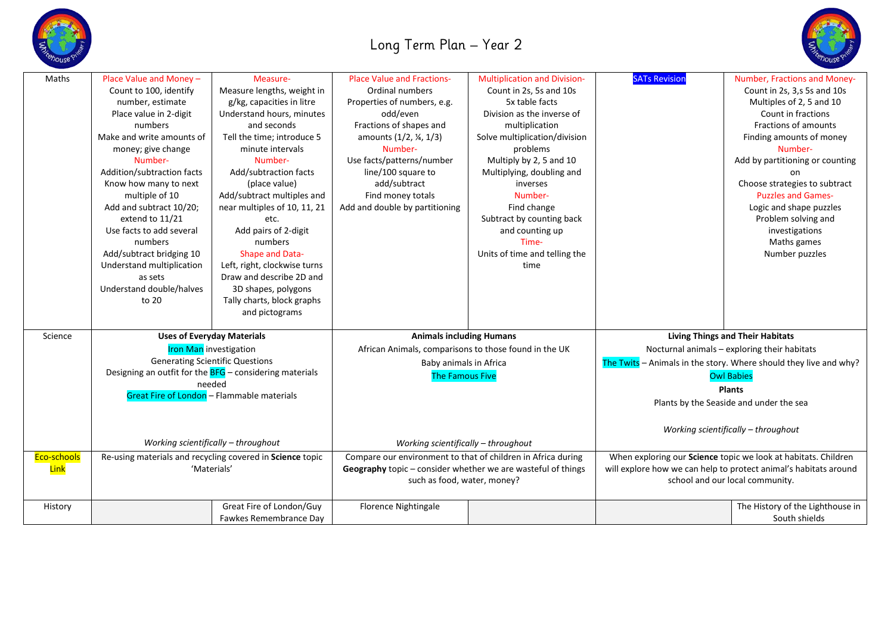

## Long Term Plan – Year 2



| Maths       | Place Value and Money -                                                                                                                                                                                                           | Measure-                                                  | <b>Place Value and Fractions-</b>                            | <b>Multiplication and Division-</b> | <b>SATs Revision</b>                                                          | Number, Fractions and Money-     |
|-------------|-----------------------------------------------------------------------------------------------------------------------------------------------------------------------------------------------------------------------------------|-----------------------------------------------------------|--------------------------------------------------------------|-------------------------------------|-------------------------------------------------------------------------------|----------------------------------|
|             | Count to 100, identify                                                                                                                                                                                                            | Measure lengths, weight in                                | Ordinal numbers                                              | Count in 2s, 5s and 10s             |                                                                               | Count in 2s, 3,s 5s and 10s      |
|             | number, estimate                                                                                                                                                                                                                  | g/kg, capacities in litre                                 | Properties of numbers, e.g.                                  | 5x table facts                      |                                                                               | Multiples of 2, 5 and 10         |
|             | Place value in 2-digit                                                                                                                                                                                                            | Understand hours, minutes                                 | odd/even                                                     | Division as the inverse of          |                                                                               | Count in fractions               |
|             | numbers                                                                                                                                                                                                                           | and seconds                                               | Fractions of shapes and                                      | multiplication                      |                                                                               | Fractions of amounts             |
|             | Make and write amounts of                                                                                                                                                                                                         | Tell the time; introduce 5                                | amounts (1/2, ¼, 1/3)                                        | Solve multiplication/division       |                                                                               | Finding amounts of money         |
|             | money; give change                                                                                                                                                                                                                | minute intervals                                          | Number-                                                      | problems                            |                                                                               | Number-                          |
|             | Number-                                                                                                                                                                                                                           | Number-                                                   | Use facts/patterns/number                                    | Multiply by 2, 5 and 10             |                                                                               | Add by partitioning or counting  |
|             | Addition/subtraction facts                                                                                                                                                                                                        | Add/subtraction facts                                     | line/100 square to                                           | Multiplying, doubling and           |                                                                               | on.                              |
|             | Know how many to next                                                                                                                                                                                                             | (place value)                                             | add/subtract                                                 | inverses                            |                                                                               | Choose strategies to subtract    |
|             | multiple of 10                                                                                                                                                                                                                    | Add/subtract multiples and                                | Find money totals                                            | Number-                             |                                                                               | <b>Puzzles and Games-</b>        |
|             | Add and subtract 10/20;                                                                                                                                                                                                           | near multiples of 10, 11, 21                              | Add and double by partitioning                               | Find change                         |                                                                               | Logic and shape puzzles          |
|             | extend to 11/21                                                                                                                                                                                                                   | etc.                                                      |                                                              | Subtract by counting back           |                                                                               | Problem solving and              |
|             | Use facts to add several                                                                                                                                                                                                          | Add pairs of 2-digit                                      |                                                              | and counting up                     |                                                                               | investigations                   |
|             | numbers                                                                                                                                                                                                                           | numbers                                                   |                                                              | Time-                               |                                                                               | Maths games                      |
|             | Add/subtract bridging 10                                                                                                                                                                                                          | Shape and Data-                                           |                                                              | Units of time and telling the       |                                                                               | Number puzzles                   |
|             | Understand multiplication                                                                                                                                                                                                         | Left, right, clockwise turns                              |                                                              | time                                |                                                                               |                                  |
|             | as sets                                                                                                                                                                                                                           | Draw and describe 2D and                                  |                                                              |                                     |                                                                               |                                  |
|             | Understand double/halves                                                                                                                                                                                                          | 3D shapes, polygons                                       |                                                              |                                     |                                                                               |                                  |
|             | to 20                                                                                                                                                                                                                             | Tally charts, block graphs                                |                                                              |                                     |                                                                               |                                  |
|             |                                                                                                                                                                                                                                   | and pictograms                                            |                                                              |                                     |                                                                               |                                  |
|             |                                                                                                                                                                                                                                   |                                                           |                                                              |                                     |                                                                               |                                  |
| Science     | <b>Uses of Everyday Materials</b><br><b>Iron Man</b> investigation<br><b>Generating Scientific Questions</b><br>Designing an outfit for the $BFG$ – considering materials<br>needed<br>Great Fire of London - Flammable materials |                                                           | <b>Animals including Humans</b>                              |                                     | <b>Living Things and Their Habitats</b>                                       |                                  |
|             |                                                                                                                                                                                                                                   |                                                           | African Animals, comparisons to those found in the UK        |                                     | Nocturnal animals - exploring their habitats                                  |                                  |
|             |                                                                                                                                                                                                                                   |                                                           | Baby animals in Africa<br><b>The Famous Five</b>             |                                     | The Twits $-$ Animals in the story. Where should they live and why?           |                                  |
|             |                                                                                                                                                                                                                                   |                                                           |                                                              |                                     | <b>Owl Babies</b><br><b>Plants</b><br>Plants by the Seaside and under the sea |                                  |
|             |                                                                                                                                                                                                                                   |                                                           |                                                              |                                     |                                                                               |                                  |
|             |                                                                                                                                                                                                                                   |                                                           |                                                              |                                     |                                                                               |                                  |
|             |                                                                                                                                                                                                                                   |                                                           |                                                              |                                     |                                                                               |                                  |
|             |                                                                                                                                                                                                                                   |                                                           |                                                              |                                     |                                                                               |                                  |
|             |                                                                                                                                                                                                                                   |                                                           |                                                              |                                     | Working scientifically - throughout                                           |                                  |
|             | Working scientifically - throughout                                                                                                                                                                                               |                                                           | Working scientifically - throughout                          |                                     |                                                                               |                                  |
| Eco-schools |                                                                                                                                                                                                                                   | Re-using materials and recycling covered in Science topic | Compare our environment to that of children in Africa during |                                     | When exploring our Science topic we look at habitats. Children                |                                  |
| <b>Link</b> | 'Materials'                                                                                                                                                                                                                       |                                                           | Geography topic - consider whether we are wasteful of things |                                     | will explore how we can help to protect animal's habitats around              |                                  |
|             |                                                                                                                                                                                                                                   |                                                           | such as food, water, money?                                  |                                     | school and our local community.                                               |                                  |
|             |                                                                                                                                                                                                                                   |                                                           |                                                              |                                     |                                                                               |                                  |
| History     |                                                                                                                                                                                                                                   | Great Fire of London/Guy                                  | Florence Nightingale                                         |                                     |                                                                               | The History of the Lighthouse in |
|             |                                                                                                                                                                                                                                   | Fawkes Remembrance Day                                    |                                                              |                                     |                                                                               | South shields                    |